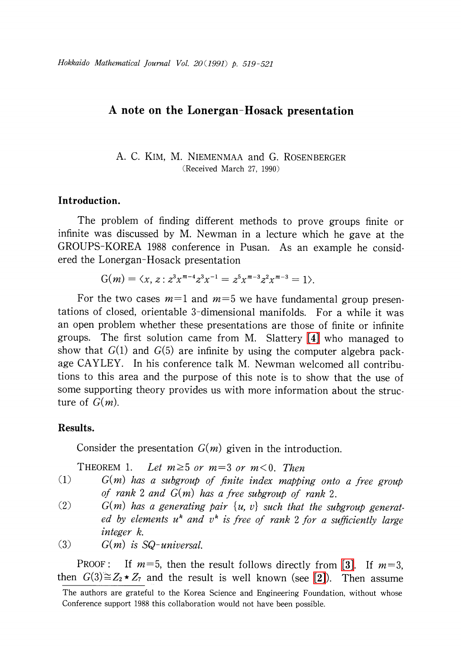## A note on the Lonergan-Hosack presentation

A. C. KIM, M. NIEMENMAA and G. ROSENBERGER (Received March 27, 1990)

## Introduction.

The problem of finding different methods to prove groups finite or infinite was discussed by M. Newman in a lecture which he gave at the GROUPS-KOREA 1988 conference in Pusan. As an example he considered the Lonergan-Hosack presentation

$$
G(m) = \langle x, z : z^3 x^{m-4} z^3 x^{-1} = z^5 x^{m-3} z^2 x^{m-3} = 1 \rangle.
$$

For the two cases  $m=1$  and  $m=5$  we have fundamental group presentations of closed, orientable 3-dimensional manifolds. For a while it was an open problem whether these presentations are those of finite or infinite groups. The first solution came from M. Slattery [\[4\]](#page-2-0) who managed to show that  $G(1)$  and  $G(5)$  are infinite by using the computer algebra package CAYLEY. In his conference talk M. Newman welcomed all contributions to this area and the purpose of this note is to show that the use of some supporting theory provides us with more information about the structure of  $G(m)$ .

## Results.

Consider the presentation  $G(m)$  given in the introduction.

THEOREM 1. Let  $m \geq 5$  or  $m=3$  or  $m < 0$ . Then

- $(1)$   $G(m)$  has a subgroup of finite index mapping onto a free group of rank 2 and  $G(m)$  has a free subgroup of rank 2.
- (2)  $G(m)$  has a generating pair  $\{u, v\}$  such that the subgroup generated by elements  $u^{k}$  and  $v^{k}$  is free of rank 2 for a sufficiently large integer k.
- (3)  $G(m)$  is SQ-universal.

PROOF: If  $m=5$ , then the result follows directly from [\[3\].](#page-2-1) If  $m=3$ , then  $G(3)\cong Z_{2}\star Z_{7}$  and the result is well known (see [\[2\]\)](#page-2-2). Then assume

The authors are grateful to the Korea Science and Engineering Foundation, without whose Conference support 1988 this collaboration would not have been possible.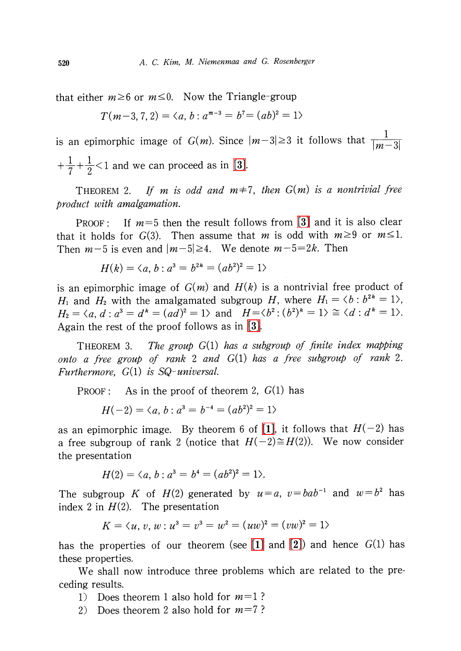that either  $m \geq 6$  or  $m \leq 0$ . Now the Triangle-group

$$
T(m-3, 7, 2) = \langle a, b : a^{m-3} = b^7 = (ab)^2 = 1 \rangle
$$

is an epimorphic image of  $G(m)$ . Since  $|m-3|\geq 3$  it follows that  $\frac{1}{|m-3|}$  $+\frac{1}{7}+\frac{1}{2}<1$  and we can proceed as in [\[3\].](#page-2-1)

THEOREM 2. If m is odd and  $m+7$ , then  $G(m)$  is a nontrivial free product with amalgamation.

PROOF: If  $m=5$  then the result follows from [\[3\]](#page-2-1) and it is also clear that it holds for  $G(3)$ . Then assume that m is odd with  $m \geq 9$  or  $m \leq 1$ . Then  $m-5$  is even and  $|m-5|\geq 4$ . We denote  $m-5=2k$ . Then

$$
H(k) = \langle a, b : a^3 = b^{2k} = (ab^2)^2 = 1 \rangle
$$

is an epimorphic image of  $G(m)$  and  $H(k)$  is a nontrivial free product of  $H_{1}$  and  $H_{2}$  with the amalgamated subgroup  $H$ , where  $H_{1}=\langle b:b^{2k}=1\rangle,$  $H_{2}=\langle a, d : a^{3}=d^{k}=(a\overline{d})^{2}=1\rangle$  and  $H=\langle b^{2} : (b^{2})^{k}=1\rangle\cong\langle d : d^{k}=1\rangle$ . Again the rest of the proof follows as in [\[3\].](#page-2-1)

THEOREM 3. The group  $G(1)$  has a subgroup of finite index mapping onto a free group of rank 2 and  $G(1)$  has a free subgroup of rank 2. Furthermore,  $G(1)$  is  $SQ$ -universal.

PROOF: As in the proof of theorem 2,  $G(1)$  has

$$
H(-2) = \langle a, b : a^3 = b^{-4} = (ab^2)^2 = 1 \rangle
$$

as an epimorphic image. By theorem 6 of [\[1\],](#page-2-3) it follows that  $H(-2)$  has a free subgroup of rank 2 (notice that  $H(-2)\cong H(2)$ ). We now consider the presentation

$$
H(2) = \langle a, b : a^3 = b^4 = (ab^2)^2 = 1 \rangle.
$$

The subgroup K of  $H(2)$  generated by  $u=a$ ,  $v=bab^{-1}$  and  $w=b^{2}$  has index 2 in  $H(2)$ . The presentation

$$
K = \langle u, v, w : u^3 = v^3 = w^2 = (uw)^2 = (vw)^2 = 1 \rangle
$$

has the properties of our theorem (see  $[1]$  and  $[2]$ ) and hence  $G(1)$  has these properties.

We shall now introduce three problems which are related to the preceding results.

- 1) Does theorem 1 also hold for  $m=1$ ?
- 2) Does theorem 2 also hold for  $m=7$ ?